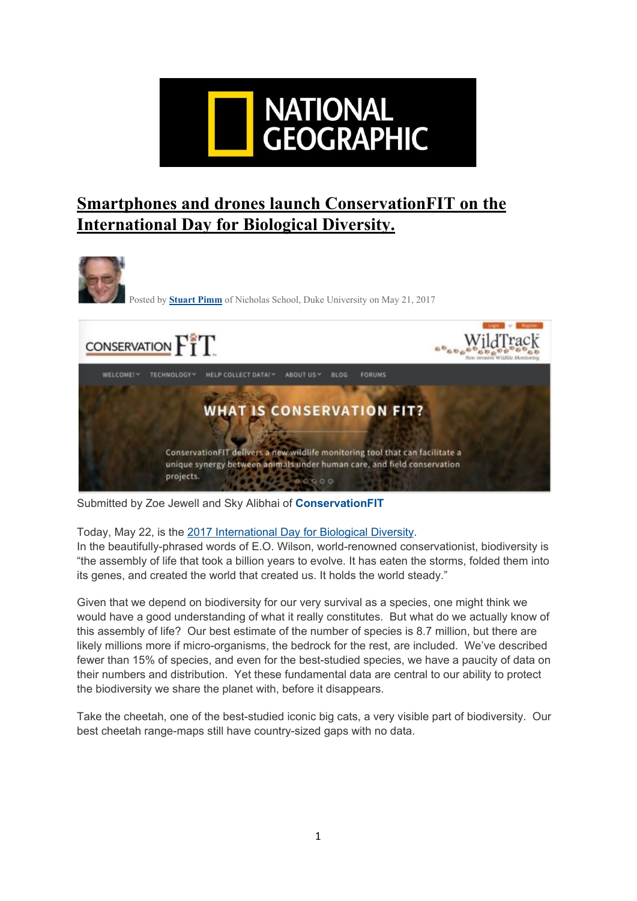

## **Smartphones and drones launch ConservationFIT on the International Day for Biological Diversity.**



Submitted by Zoe Jewell and Sky Alibhai of **[ConservationFIT](http://www.conservationfit.org/)**

Today, May 22, is the [2017 International Day for Biological Diversity.](http://www.un.org/en/events/biodiversityday/)

In the beautifully-phrased words of E.O. Wilson, world-renowned conservationist, biodiversity is "the assembly of life that took a billion years to evolve. It has eaten the storms, folded them into its genes, and created the world that created us. It holds the world steady."

Given that we depend on biodiversity for our very survival as a species, one might think we would have a good understanding of what it really constitutes. But what do we actually know of this assembly of life? Our best estimate of the number of species is 8.7 million, but there are likely millions more if micro-organisms, the bedrock for the rest, are included. We've described fewer than 15% of species, and even for the best-studied species, we have a paucity of data on their numbers and distribution. Yet these fundamental data are central to our ability to protect the biodiversity we share the planet with, before it disappears.

Take the cheetah, one of the best-studied iconic big cats, a very visible part of biodiversity. Our best cheetah range-maps still have country-sized gaps with no data.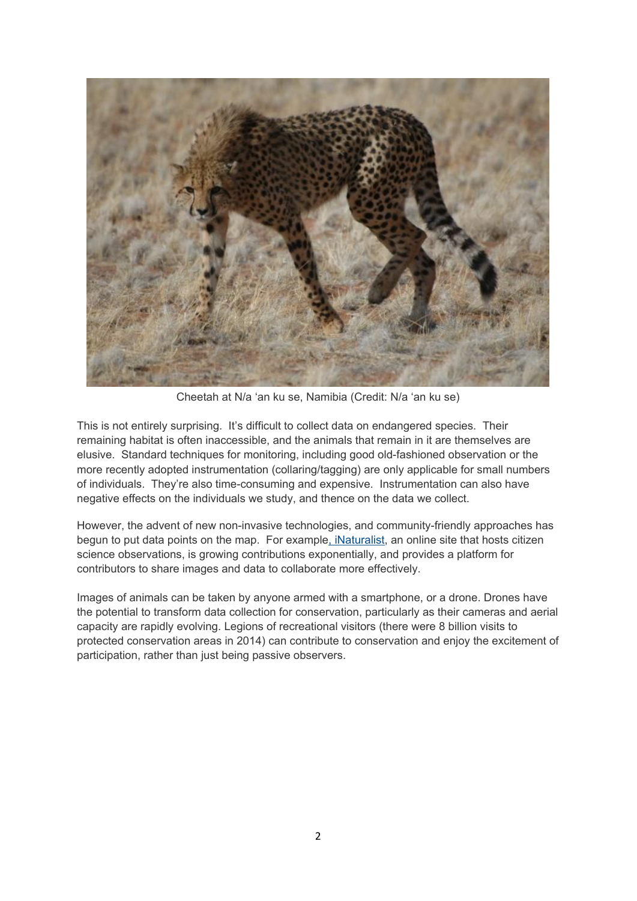

Cheetah at N/a 'an ku se, Namibia (Credit: N/a 'an ku se)

This is not entirely surprising. It's difficult to collect data on endangered species. Their remaining habitat is often inaccessible, and the animals that remain in it are themselves are elusive. Standard techniques for monitoring, including good old-fashioned observation or the more recently adopted instrumentation (collaring/tagging) are only applicable for small numbers of individuals. They're also time-consuming and expensive. Instrumentation can also have negative effects on the individuals we study, and thence on the data we collect.

However, the advent of new non-invasive technologies, and community-friendly approaches has begun to put data points on the map. For exampl[e, iNaturalist](https://www.inaturalist.org/projects/conservationfit), an online site that hosts citizen science observations, is growing contributions exponentially, and provides a platform for contributors to share images and data to collaborate more effectively.

Images of animals can be taken by anyone armed with a smartphone, or a drone. Drones have the potential to transform data collection for conservation, particularly as their cameras and aerial capacity are rapidly evolving. Legions of recreational visitors (there were 8 billion visits to protected conservation areas in 2014) can contribute to conservation and enjoy the excitement of participation, rather than just being passive observers.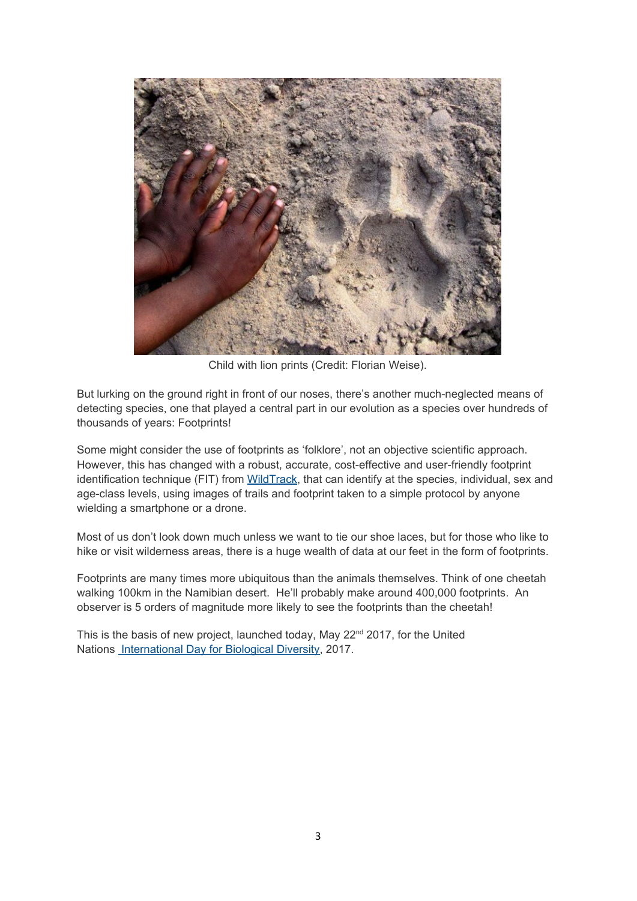

Child with lion prints (Credit: Florian Weise).

But lurking on the ground right in front of our noses, there's another much-neglected means of detecting species, one that played a central part in our evolution as a species over hundreds of thousands of years: Footprints!

Some might consider the use of footprints as 'folklore', not an objective scientific approach. However, this has changed with a robust, accurate, cost-effective and user-friendly footprint identification technique (FIT) from [WildTrack](http://www.wildtrack.org/), that can identify at the species, individual, sex and age-class levels, using images of trails and footprint taken to a simple protocol by anyone wielding a smartphone or a drone.

Most of us don't look down much unless we want to tie our shoe laces, but for those who like to hike or visit wilderness areas, there is a huge wealth of data at our feet in the form of footprints.

Footprints are many times more ubiquitous than the animals themselves. Think of one cheetah walking 100km in the Namibian desert. He'll probably make around 400,000 footprints. An observer is 5 orders of magnitude more likely to see the footprints than the cheetah!

This is the basis of new project, launched today, May 22<sup>nd</sup> 2017, for the United Nations [International Day for Biological Diversity,](http://www.un.org/en/events/biodiversityday/) 2017.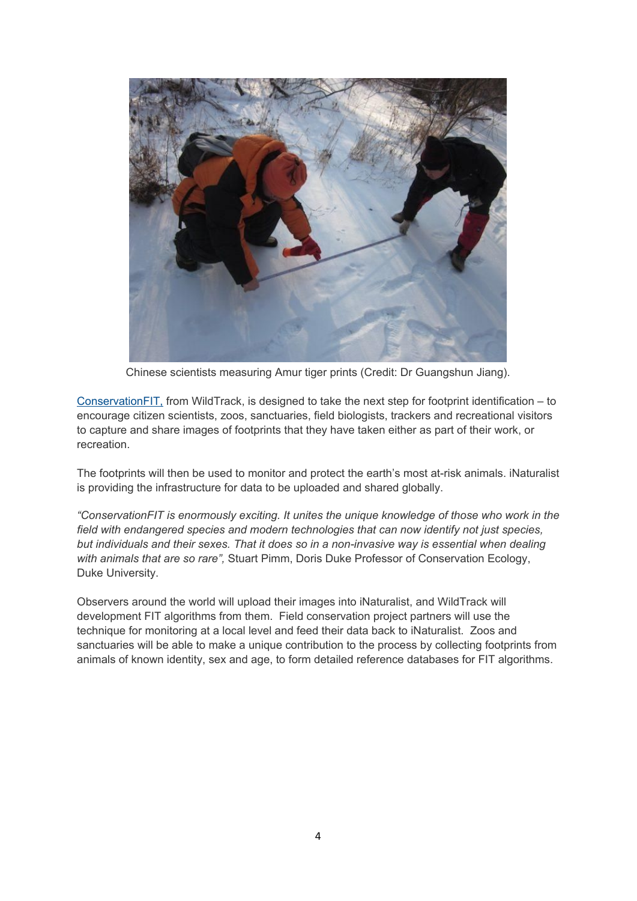

Chinese scientists measuring Amur tiger prints (Credit: Dr Guangshun Jiang).

[ConservationFIT,](http://www.conservationfit.org/) from WildTrack, is designed to take the next step for footprint identification – to encourage citizen scientists, zoos, sanctuaries, field biologists, trackers and recreational visitors to capture and share images of footprints that they have taken either as part of their work, or recreation.

The footprints will then be used to monitor and protect the earth's most at-risk animals. iNaturalist is providing the infrastructure for data to be uploaded and shared globally.

*"ConservationFIT is enormously exciting. It unites the unique knowledge of those who work in the field with endangered species and modern technologies that can now identify not just species, but individuals and their sexes. That it does so in a non-invasive way is essential when dealing with animals that are so rare",* Stuart Pimm, Doris Duke Professor of Conservation Ecology, Duke University.

Observers around the world will upload their images into iNaturalist, and WildTrack will development FIT algorithms from them. Field conservation project partners will use the technique for monitoring at a local level and feed their data back to iNaturalist. Zoos and sanctuaries will be able to make a unique contribution to the process by collecting footprints from animals of known identity, sex and age, to form detailed reference databases for FIT algorithms.